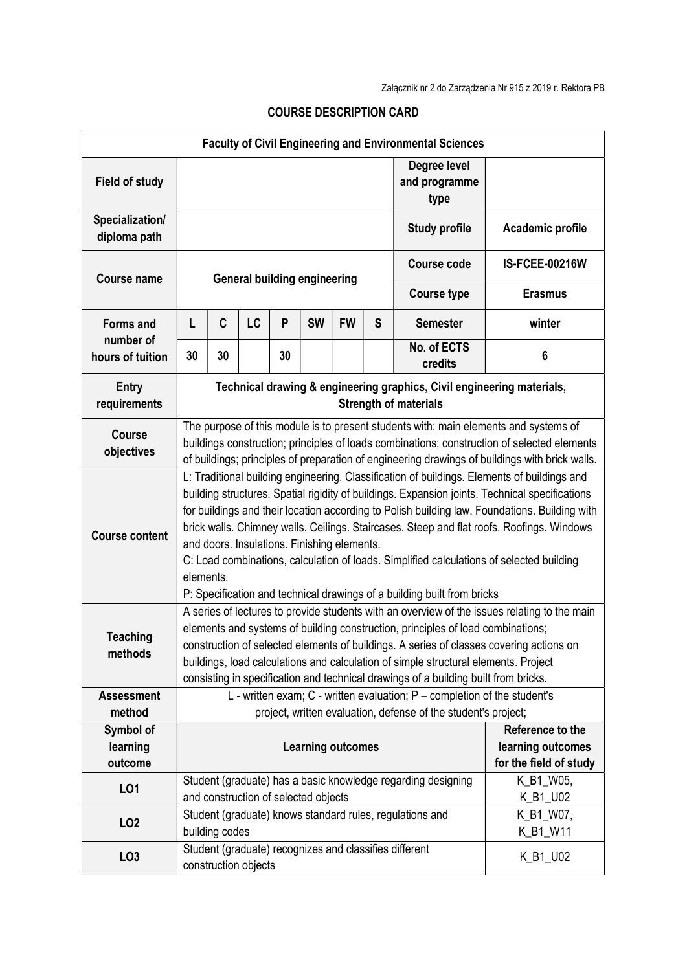| <b>Faculty of Civil Engineering and Environmental Sciences</b> |                                                                                                                                                                                                                                                                                                                                                                                                                                                                                                                                                                                                                                |                |                      |    |                                      |           |                   |                                                              |                        |
|----------------------------------------------------------------|--------------------------------------------------------------------------------------------------------------------------------------------------------------------------------------------------------------------------------------------------------------------------------------------------------------------------------------------------------------------------------------------------------------------------------------------------------------------------------------------------------------------------------------------------------------------------------------------------------------------------------|----------------|----------------------|----|--------------------------------------|-----------|-------------------|--------------------------------------------------------------|------------------------|
| <b>Field of study</b>                                          |                                                                                                                                                                                                                                                                                                                                                                                                                                                                                                                                                                                                                                |                |                      |    |                                      |           |                   | Degree level<br>and programme<br>type                        |                        |
| Specialization/<br>diploma path                                |                                                                                                                                                                                                                                                                                                                                                                                                                                                                                                                                                                                                                                |                |                      |    |                                      |           |                   | <b>Study profile</b>                                         | Academic profile       |
| <b>Course name</b>                                             | <b>General building engineering</b>                                                                                                                                                                                                                                                                                                                                                                                                                                                                                                                                                                                            |                |                      |    |                                      |           |                   | <b>Course code</b>                                           | <b>IS-FCEE-00216W</b>  |
|                                                                |                                                                                                                                                                                                                                                                                                                                                                                                                                                                                                                                                                                                                                |                |                      |    |                                      |           |                   | <b>Course type</b>                                           | <b>Erasmus</b>         |
| <b>Forms and</b><br>number of<br>hours of tuition              | L                                                                                                                                                                                                                                                                                                                                                                                                                                                                                                                                                                                                                              | C              | LC                   | P  | <b>SW</b>                            | <b>FW</b> | S                 | <b>Semester</b>                                              | winter                 |
|                                                                | 30                                                                                                                                                                                                                                                                                                                                                                                                                                                                                                                                                                                                                             | 30             |                      | 30 |                                      |           |                   | No. of ECTS<br>credits                                       | 6                      |
| <b>Entry</b><br>requirements                                   | Technical drawing & engineering graphics, Civil engineering materials,<br><b>Strength of materials</b>                                                                                                                                                                                                                                                                                                                                                                                                                                                                                                                         |                |                      |    |                                      |           |                   |                                                              |                        |
| <b>Course</b><br>objectives                                    | The purpose of this module is to present students with: main elements and systems of<br>buildings construction; principles of loads combinations; construction of selected elements<br>of buildings; principles of preparation of engineering drawings of buildings with brick walls.                                                                                                                                                                                                                                                                                                                                          |                |                      |    |                                      |           |                   |                                                              |                        |
| <b>Course content</b>                                          | L: Traditional building engineering. Classification of buildings. Elements of buildings and<br>building structures. Spatial rigidity of buildings. Expansion joints. Technical specifications<br>for buildings and their location according to Polish building law. Foundations. Building with<br>brick walls. Chimney walls. Ceilings. Staircases. Steep and flat roofs. Roofings. Windows<br>and doors. Insulations. Finishing elements.<br>C: Load combinations, calculation of loads. Simplified calculations of selected building<br>elements.<br>P: Specification and technical drawings of a building built from bricks |                |                      |    |                                      |           |                   |                                                              |                        |
| <b>Teaching</b><br>methods                                     | A series of lectures to provide students with an overview of the issues relating to the main<br>elements and systems of building construction, principles of load combinations;<br>construction of selected elements of buildings. A series of classes covering actions on<br>buildings, load calculations and calculation of simple structural elements. Project<br>consisting in specification and technical drawings of a building built from bricks.                                                                                                                                                                       |                |                      |    |                                      |           |                   |                                                              |                        |
| <b>Assessment</b><br>method                                    | L - written exam; $C$ - written evaluation; $P$ – completion of the student's                                                                                                                                                                                                                                                                                                                                                                                                                                                                                                                                                  |                |                      |    |                                      |           |                   |                                                              |                        |
| Symbol of                                                      | project, written evaluation, defense of the student's project;                                                                                                                                                                                                                                                                                                                                                                                                                                                                                                                                                                 |                |                      |    |                                      |           | Reference to the  |                                                              |                        |
| learning                                                       | <b>Learning outcomes</b>                                                                                                                                                                                                                                                                                                                                                                                                                                                                                                                                                                                                       |                |                      |    |                                      |           | learning outcomes |                                                              |                        |
| outcome                                                        |                                                                                                                                                                                                                                                                                                                                                                                                                                                                                                                                                                                                                                |                |                      |    |                                      |           |                   |                                                              | for the field of study |
| LO <sub>1</sub>                                                |                                                                                                                                                                                                                                                                                                                                                                                                                                                                                                                                                                                                                                |                |                      |    | and construction of selected objects |           |                   | Student (graduate) has a basic knowledge regarding designing | K_B1_W05,<br>K_B1_U02  |
| LO <sub>2</sub>                                                |                                                                                                                                                                                                                                                                                                                                                                                                                                                                                                                                                                                                                                | building codes |                      |    |                                      |           |                   | Student (graduate) knows standard rules, regulations and     | K_B1_W07,<br>K_B1_W11  |
| LO <sub>3</sub>                                                |                                                                                                                                                                                                                                                                                                                                                                                                                                                                                                                                                                                                                                |                | construction objects |    |                                      |           |                   | Student (graduate) recognizes and classifies different       | K_B1_U02               |

## COURSE DESCRIPTION CARD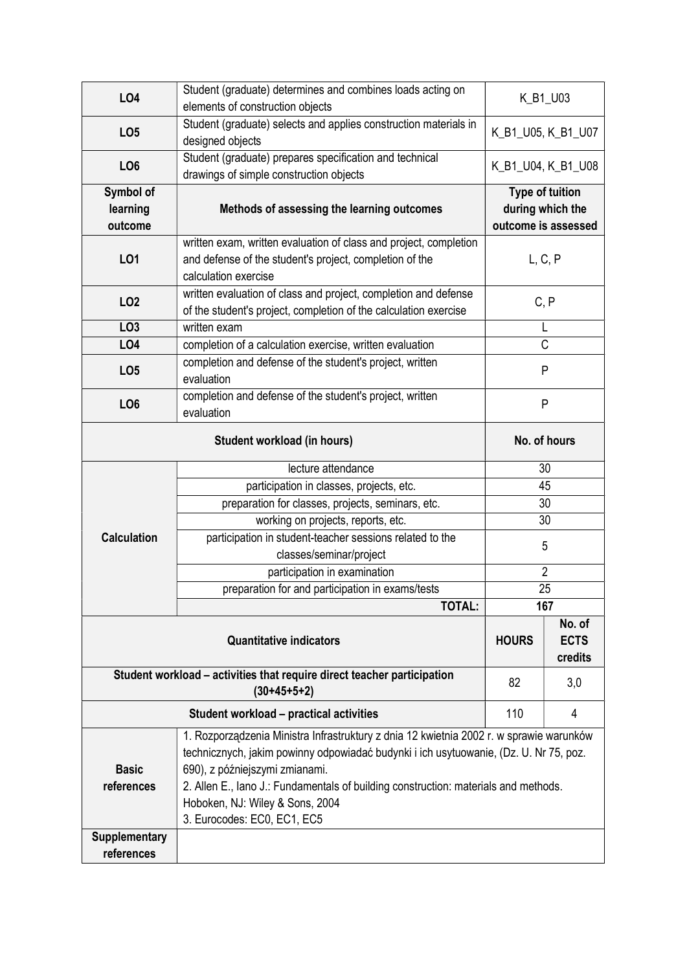| LO4                                                                     | Student (graduate) determines and combines loads acting on                                                                                                                                                                                                                                                                                                                  | K_B1_U03                                                          |                    |  |  |  |
|-------------------------------------------------------------------------|-----------------------------------------------------------------------------------------------------------------------------------------------------------------------------------------------------------------------------------------------------------------------------------------------------------------------------------------------------------------------------|-------------------------------------------------------------------|--------------------|--|--|--|
|                                                                         | elements of construction objects                                                                                                                                                                                                                                                                                                                                            |                                                                   |                    |  |  |  |
| LO <sub>5</sub>                                                         | Student (graduate) selects and applies construction materials in<br>designed objects                                                                                                                                                                                                                                                                                        | K_B1_U05, K_B1_U07                                                |                    |  |  |  |
| LO <sub>6</sub>                                                         | Student (graduate) prepares specification and technical<br>drawings of simple construction objects                                                                                                                                                                                                                                                                          |                                                                   | K_B1_U04, K_B1_U08 |  |  |  |
| Symbol of<br>learning<br>outcome                                        | Methods of assessing the learning outcomes                                                                                                                                                                                                                                                                                                                                  | <b>Type of tuition</b><br>during which the<br>outcome is assessed |                    |  |  |  |
| LO1                                                                     | written exam, written evaluation of class and project, completion<br>and defense of the student's project, completion of the<br>calculation exercise                                                                                                                                                                                                                        | L, C, P                                                           |                    |  |  |  |
| LO <sub>2</sub>                                                         | written evaluation of class and project, completion and defense<br>of the student's project, completion of the calculation exercise                                                                                                                                                                                                                                         | C, P                                                              |                    |  |  |  |
| LO <sub>3</sub>                                                         | written exam                                                                                                                                                                                                                                                                                                                                                                | L                                                                 |                    |  |  |  |
| LO <sub>4</sub>                                                         | completion of a calculation exercise, written evaluation                                                                                                                                                                                                                                                                                                                    | $\mathsf{C}$                                                      |                    |  |  |  |
| LO <sub>5</sub>                                                         | completion and defense of the student's project, written<br>evaluation                                                                                                                                                                                                                                                                                                      | P                                                                 |                    |  |  |  |
| LO <sub>6</sub>                                                         | completion and defense of the student's project, written<br>evaluation                                                                                                                                                                                                                                                                                                      | $\mathsf{P}$                                                      |                    |  |  |  |
|                                                                         | No. of hours                                                                                                                                                                                                                                                                                                                                                                |                                                                   |                    |  |  |  |
|                                                                         | lecture attendance                                                                                                                                                                                                                                                                                                                                                          | 30                                                                |                    |  |  |  |
|                                                                         | participation in classes, projects, etc.                                                                                                                                                                                                                                                                                                                                    | 45                                                                |                    |  |  |  |
|                                                                         | preparation for classes, projects, seminars, etc.                                                                                                                                                                                                                                                                                                                           | 30                                                                |                    |  |  |  |
|                                                                         | working on projects, reports, etc.                                                                                                                                                                                                                                                                                                                                          | 30                                                                |                    |  |  |  |
| <b>Calculation</b>                                                      | participation in student-teacher sessions related to the                                                                                                                                                                                                                                                                                                                    | 5                                                                 |                    |  |  |  |
|                                                                         | classes/seminar/project                                                                                                                                                                                                                                                                                                                                                     |                                                                   |                    |  |  |  |
|                                                                         | participation in examination                                                                                                                                                                                                                                                                                                                                                | $\overline{2}$                                                    |                    |  |  |  |
|                                                                         | preparation for and participation in exams/tests<br><b>TOTAL:</b>                                                                                                                                                                                                                                                                                                           | 25                                                                |                    |  |  |  |
|                                                                         | 167                                                                                                                                                                                                                                                                                                                                                                         |                                                                   |                    |  |  |  |
|                                                                         | <b>HOURS</b>                                                                                                                                                                                                                                                                                                                                                                | No. of<br><b>ECTS</b><br>credits                                  |                    |  |  |  |
| Student workload - activities that require direct teacher participation | 82                                                                                                                                                                                                                                                                                                                                                                          | 3,0                                                               |                    |  |  |  |
|                                                                         | 110                                                                                                                                                                                                                                                                                                                                                                         | 4                                                                 |                    |  |  |  |
| <b>Basic</b><br>references<br><b>Supplementary</b>                      | 1. Rozporządzenia Ministra Infrastruktury z dnia 12 kwietnia 2002 r. w sprawie warunków<br>technicznych, jakim powinny odpowiadać budynki i ich usytuowanie, (Dz. U. Nr 75, poz.<br>690), z późniejszymi zmianami.<br>2. Allen E., lano J.: Fundamentals of building construction: materials and methods.<br>Hoboken, NJ: Wiley & Sons, 2004<br>3. Eurocodes: EC0, EC1, EC5 |                                                                   |                    |  |  |  |
| references                                                              |                                                                                                                                                                                                                                                                                                                                                                             |                                                                   |                    |  |  |  |
|                                                                         |                                                                                                                                                                                                                                                                                                                                                                             |                                                                   |                    |  |  |  |